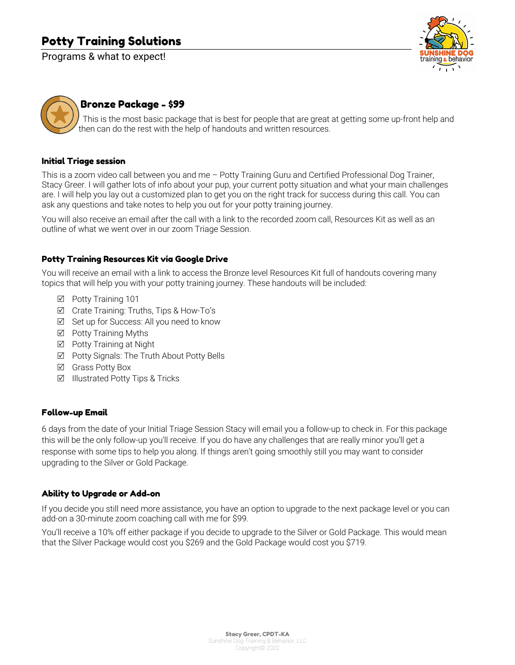# Potty Training Solutions

Programs & what to expect!





# Bronze Package - \$99

 This is the most basic package that is best for people that are great at getting some up-front help and then can do the rest with the help of handouts and written resources.

#### Initial Triage session

This is a zoom video call between you and me – Potty Training Guru and Certified Professional Dog Trainer, Stacy Greer. I will gather lots of info about your pup, your current potty situation and what your main challenges are. I will help you lay out a customized plan to get you on the right track for success during this call. You can ask any questions and take notes to help you out for your potty training journey.

You will also receive an email after the call with a link to the recorded zoom call, Resources Kit as well as an outline of what we went over in our zoom Triage Session.

#### Potty Training Resources Kit via Google Drive

You will receive an email with a link to access the Bronze level Resources Kit full of handouts covering many topics that will help you with your potty training journey. These handouts will be included:

- **Ø** Potty Training 101
- R Crate Training: Truths, Tips & How-To's
- $\boxtimes$  Set up for Success: All you need to know
- $\boxtimes$  Potty Training Myths
- $\boxtimes$  Potty Training at Night
- $\boxtimes$  Potty Signals: The Truth About Potty Bells
- $\boxtimes$  Grass Potty Box
- $\boxtimes$  Illustrated Potty Tips & Tricks

#### Follow-up Email

6 days from the date of your Initial Triage Session Stacy will email you a follow-up to check in. For this package this will be the only follow-up you'll receive. If you do have any challenges that are really minor you'll get a response with some tips to help you along. If things aren't going smoothly still you may want to consider upgrading to the Silver or Gold Package.

#### Ability to Upgrade or Add-on

If you decide you still need more assistance, you have an option to upgrade to the next package level or you can add-on a 30-minute zoom coaching call with me for \$99.

You'll receive a 10% off either package if you decide to upgrade to the Silver or Gold Package. This would mean that the Silver Package would cost you \$269 and the Gold Package would cost you \$719.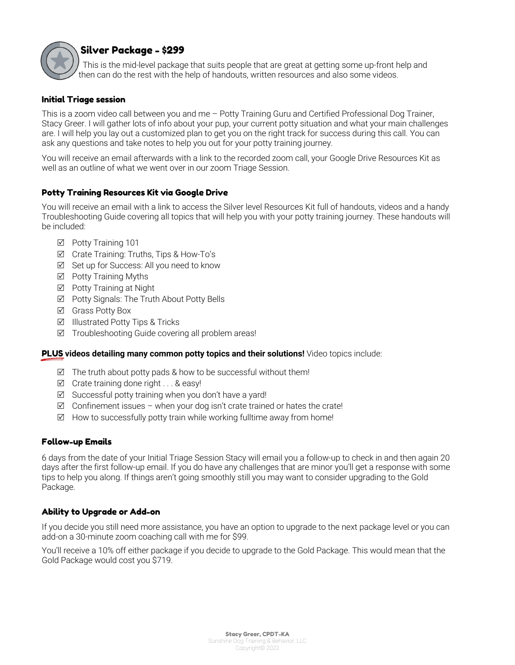

# Silver Package - \$299

 This is the mid-level package that suits people that are great at getting some up-front help and then can do the rest with the help of handouts, written resources and also some videos.

# Initial Triage session

This is a zoom video call between you and me – Potty Training Guru and Certified Professional Dog Trainer, Stacy Greer. I will gather lots of info about your pup, your current potty situation and what your main challenges are. I will help you lay out a customized plan to get you on the right track for success during this call. You can ask any questions and take notes to help you out for your potty training journey.

You will receive an email afterwards with a link to the recorded zoom call, your Google Drive Resources Kit as well as an outline of what we went over in our zoom Triage Session.

# Potty Training Resources Kit via Google Drive

You will receive an email with a link to access the Silver level Resources Kit full of handouts, videos and a handy Troubleshooting Guide covering all topics that will help you with your potty training journey. These handouts will be included:

- **Ø** Potty Training 101
- R Crate Training: Truths, Tips & How-To's
- $\boxtimes$  Set up for Success: All you need to know
- $\boxtimes$  Potty Training Myths
- **Ø** Potty Training at Night
- R Potty Signals: The Truth About Potty Bells
- **Ø** Grass Potty Box
- $\boxtimes$  Illustrated Potty Tips & Tricks
- $\boxtimes$  Troubleshooting Guide covering all problem areas!

# PLUS **videos detailing many common potty topics and their solutions!** Video topics include:

- $\boxtimes$  The truth about potty pads & how to be successful without them!
- $\boxtimes$  Crate training done right . . . & easy!
- $\boxtimes$  Successful potty training when you don't have a yard!
- $\boxtimes$  Confinement issues when your dog isn't crate trained or hates the crate!
- $\boxtimes$  How to successfully potty train while working fulltime away from home!

# Follow-up Emails

6 days from the date of your Initial Triage Session Stacy will email you a follow-up to check in and then again 20 days after the first follow-up email. If you do have any challenges that are minor you'll get a response with some tips to help you along. If things aren't going smoothly still you may want to consider upgrading to the Gold Package.

#### Ability to Upgrade or Add-on

If you decide you still need more assistance, you have an option to upgrade to the next package level or you can add-on a 30-minute zoom coaching call with me for \$99.

You'll receive a 10% off either package if you decide to upgrade to the Gold Package. This would mean that the Gold Package would cost you \$719.